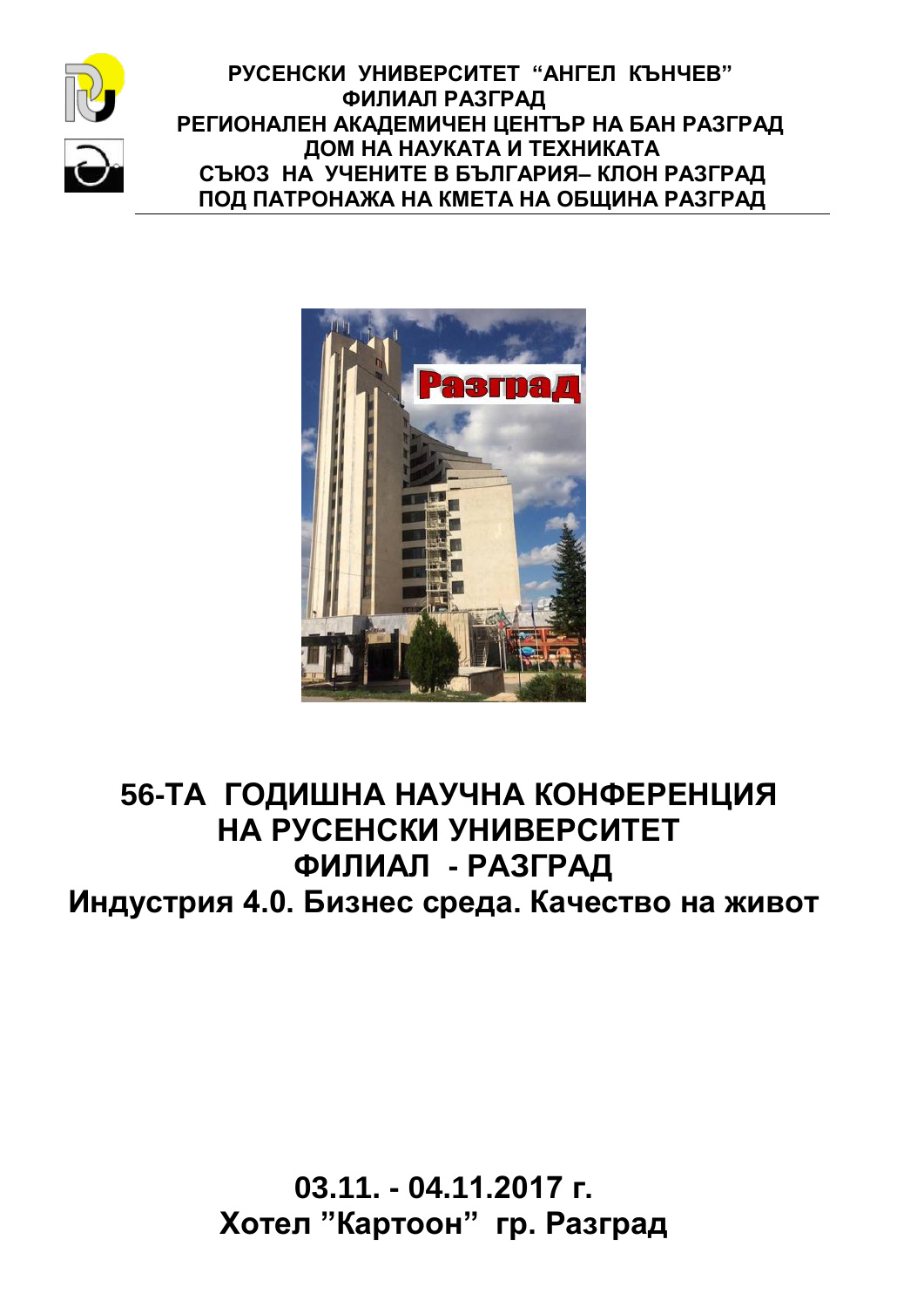

 **РУСЕНСКИ УНИВЕРСИТЕТ "АНГЕЛ КЪНЧЕВ" ФИЛИАЛ РАЗГРАД РЕГИОНАЛЕН АКАДЕМИЧЕН ЦЕНТЪР НА БАН РАЗГРАД ДОМ НА НАУКАТА И ТЕХНИКАТА СЪЮЗ НА УЧЕНИТЕ В БЪЛГАРИЯ– КЛОН РАЗГРАД ПОД ПАТРОНАЖА НА КМЕТА НА ОБЩИНА РАЗГРАД**



# **56-ТА ГОДИШНА НАУЧНА КОНФЕРЕНЦИЯ НА РУСЕНСКИ УНИВЕРСИТЕТ ФИЛИАЛ - РАЗГРАД Индустрия 4.0. Бизнес среда. Качество на живот**

**03.11. - 04.11.2017 г. Хотел "Картоон" гр. Разград**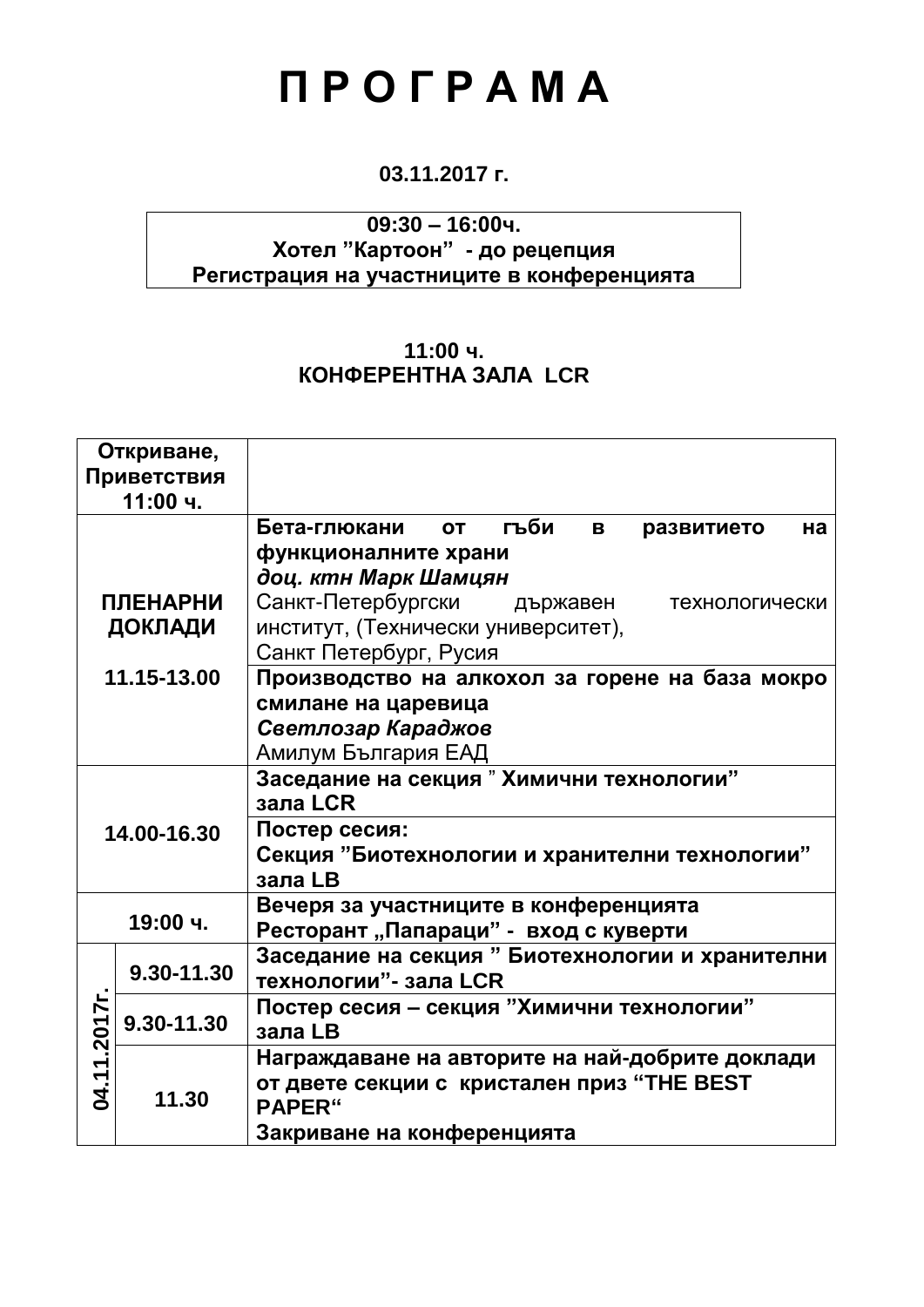# **П Р О Г Р А М А**

# **03.11.2017 г.**

# **09:30 – 16:00ч. Хотел "Картоон" - до рецепция Регистрация на участниците в конференцията**

# **11:00 ч. КОНФЕРЕНТНА ЗАЛА LCR**

|                 | Откриване,<br>Приветствия<br>11:00 ч. |                                                                           |  |
|-----------------|---------------------------------------|---------------------------------------------------------------------------|--|
|                 |                                       | гъби<br>Бета-глюкани<br><b>OT</b><br>B<br>развитието<br>на                |  |
|                 |                                       | функционалните храни                                                      |  |
|                 |                                       | доц. ктн Марк Шамцян                                                      |  |
| <b>ПЛЕНАРНИ</b> |                                       | Санкт-Петербургски държавен<br>технологически                             |  |
| ДОКЛАДИ         |                                       | институт, (Технически университет),<br>Санкт Петербург, Русия             |  |
| 11.15-13.00     |                                       | Производство на алкохол за горене на база мокро                           |  |
|                 |                                       | смилане на царевица                                                       |  |
|                 |                                       | Светлозар Караджов                                                        |  |
|                 |                                       | Амилум България ЕАД                                                       |  |
| 14.00-16.30     |                                       | Заседание на секция "Химични технологии"<br>зала LCR                      |  |
|                 |                                       | Постер сесия:                                                             |  |
|                 |                                       | Секция "Биотехнологии и хранителни технологии"<br>зала LB                 |  |
|                 |                                       | Вечеря за участниците в конференцията                                     |  |
|                 | 19:00 ч.                              | Ресторант "Папараци" - вход с куверти                                     |  |
| 04.11.2017r.    | 9.30-11.30                            | Заседание на секция " Биотехнологии и хранителни<br>технологии"- зала LCR |  |
|                 | 9.30-11.30                            | Постер сесия - секция "Химични технологии"                                |  |
|                 |                                       | зала LB                                                                   |  |
|                 | 11.30                                 | Награждаване на авторите на най-добрите доклади                           |  |
|                 |                                       | от двете секции с кристален приз "THE BEST<br>PAPER"                      |  |
|                 |                                       | Закриване на конференцията                                                |  |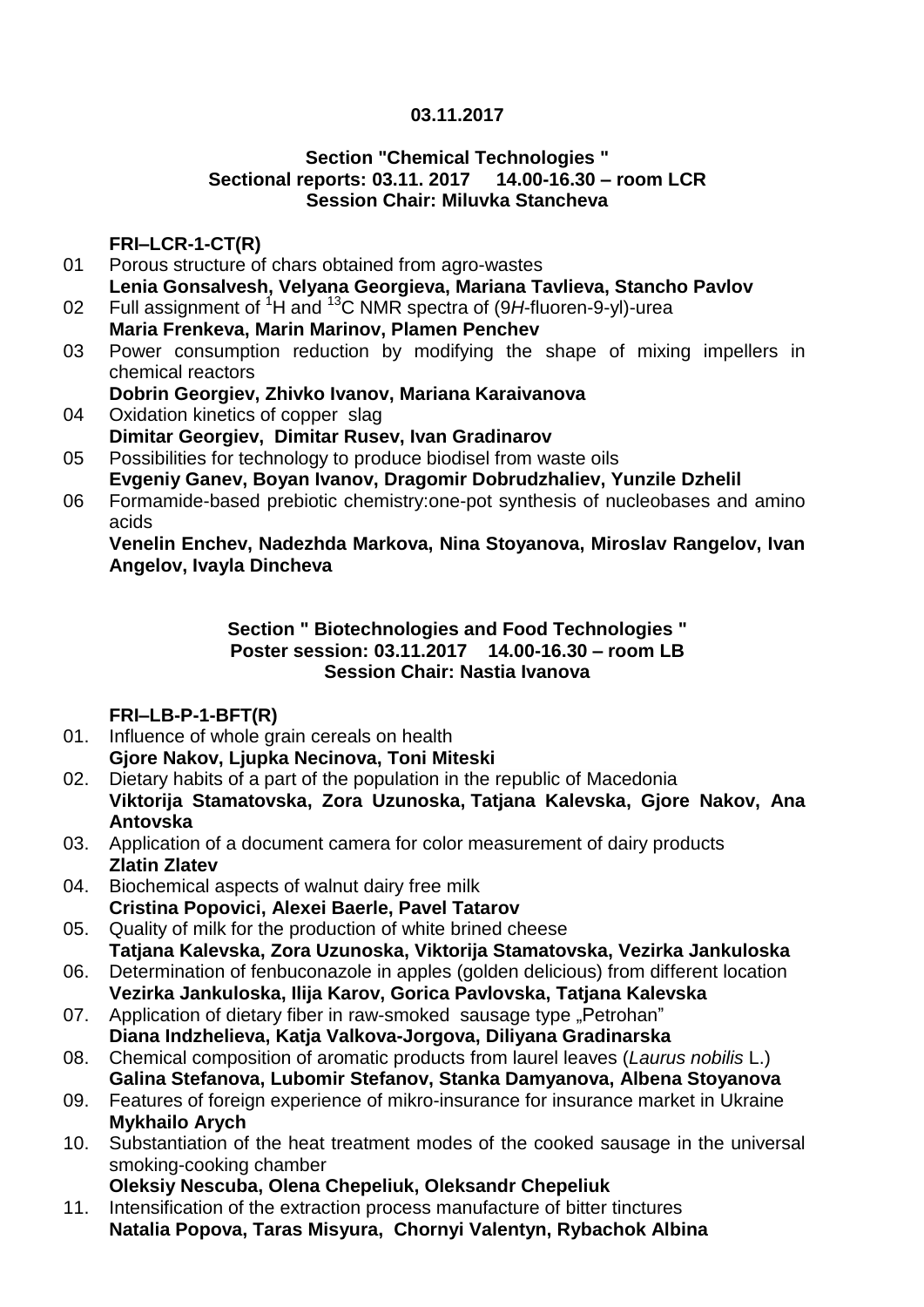### **03.11.2017**

#### **Section "Chemical Technologies " Sectional reports: 03.11. 2017 14.00-16.30 – room LCR Session Chair: Miluvka Stancheva**

#### **FRI–LCR-1-CT(R)**

- 01 Porous structure of chars obtained from agro-wastes **Lenia Gonsalvesh, Velyana Georgieva, Mariana Tavlieva, Stancho Pavlov**
- 02 Full assignment of <sup>1</sup>H and <sup>13</sup>C NMR spectra of (9*H*-fluoren-9-yl)-urea **Maria Frenkeva, Marin Marinov, Plamen Penchev**
- 03 Power consumption reduction by modifying the shape of mixing impellers in chemical reactors
	- **Dobrin Georgiev, Zhivko Ivanov, Mariana Karaivanova**
- 04 Oxidation kinetics of copper slag **Dimitar Georgiev, Dimitar Rusev, Ivan Gradinarov**
- 05 Possibilities for technology to produce biodisel from waste oils **Evgeniy Ganev, Boyan Ivanov, Dragomir Dobrudzhaliev, Yunzile Dzhelil**
- 06 Formamide-based prebiotic chemistry:one-pot synthesis of nucleobases and amino acids

**Venelin Enchev, Nadezhda Markova, Nina Stoyanova, Miroslav Rangelov, Ivan Angelov, Ivayla Dincheva**

#### **Section " Biotechnologies and Food Technologies " Poster session: 03.11.2017 14.00-16.30 – room LB Session Chair: Nastia Ivanova**

# **FRI–LB-P-1-BFT(R)**

- 01. Influence of whole grain cereals on health **Gjore Nakov, Ljupka Necinova, Toni Miteski**
- 02. Dietary habits of a part of the population in the republic of Macedonia **Viktorija Stamatovska, Zora Uzunoska, Tatjana Kalevska, Gjore Nakov, Ana Antovska**
- 03. Application of a document camera for color measurement of dairy products **Zlatin Zlatev**
- 04. Biochemical aspects of walnut dairy free milk **Cristina Popovici, Alexei Baerle, Pavel Tatarov**
- 05. Quality of milk for the production of white brined cheese **Tatjana Kalevska, Zora Uzunoska, Viktorija Stamatovska, Vezirka Jankuloska**
- 06. Determination of fenbuconazole in apples (golden delicious) from different location **Vezirka Jankuloska, Ilija Karov, Gorica Pavlovska, Tatjana Kalevska**
- 07. Application of dietary fiber in raw-smoked sausage type "Petrohan" **Diana Indzhelieva, Katja Valkova-Jorgova, Diliyana Gradinarska**
- 08. Chemical composition of aromatic products from laurel leaves (*Laurus nobilis* L.) **Galina Stefanova, Lubomir Stefanov, Stanka Damyanova, Albena Stoyanova**
- 09. Features of foreign experience of mikro-insurance for insurance market in Ukraine **Mykhailo Arych**
- 10. Substantiation of the heat treatment modes of the cooked sausage in the universal [smoking-cooking chamber](http://unitym.ru/en/products/universal-smoking-cooking-chambers/universalnye-koptilno-varochnye-kamery/)
	- **Oleksiy Nescuba, Olena Chepeliuk, Oleksandr Chepeliuk**
- 11. Intensification of the extraction process manufacture of bitter tinctures **Natalia Popova, Taras Misyura, Chornyi Valentyn, Rybachok Albina**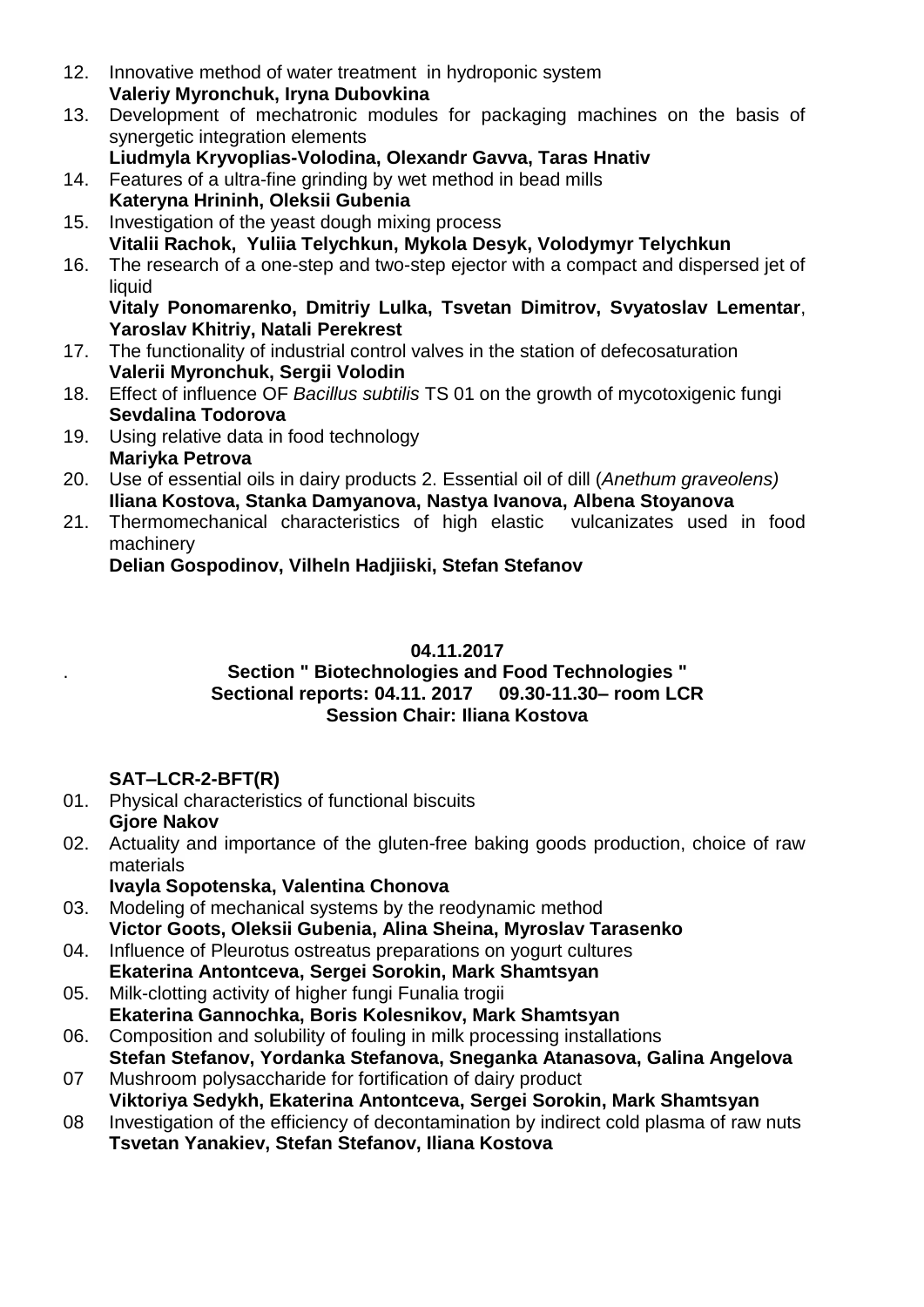- 12. Innovative method of water treatment in hydroponic system **Valeriy Myronchuk, Iryna Dubovkina**
- 13. Development of mechatronic modules for packaging machines on the basis of synergetic integration elements
- **Liudmyla Kryvoplias-Volodina, Olexandr Gavva, Taras Hnativ**
- 14. Features of a ultra-fine grinding by wet method in bead mills
- 15. **Kateryna Hrininh, Oleksii Gubenia**
- Investigation of the yeast dough mixing process **Vitalii Rachok, Yuliia Telychkun, Mykola Desyk, Volodymyr Telychkun**
- 16. The research of a one-step and two-step ejector with a compact and dispersed jet of liquid

**Vitaly Ponomarenko, Dmitriy Lulka, Tsvetan Dimitrov, Svyatoslav Lementar**, **Yaroslav Khitriy, Natali Perekrest** 

- 17. The functionality of industrial control valves in the station of defecosaturation **Valerii Myronchuk, Sergii Volodin**
- 18. Effect of influence OF *Bacillus subtilis* TS 01 on the growth of mycotoxigenic fungi **Sevdalina Todorova**
- 19. Using relative data in food technology **Mariyka Petrova**
- 20. Use of essential oils in dairy products 2. Essential oil of dill (*Anethum graveolens)* **Iliana Kostova, Stanka Damyanova, Nastya Ivanova, Albena Stoyanova**
- 21. Thermomechanical characteristics of high elastic vulcanizates used in food machinery

**Delian Gospodinov, Vilheln Hadjiiski, Stefan Stefanov**

#### **04.11.2017**

#### **Section " Biotechnologies and Food Technologies " Sectional reports: 04.11. 2017 09.30-11.30– room LCR Session Chair: Iliana Kostova**

# **SAT–LCR-2-BFT(R)**

.

- 01. Physical characteristics of functional biscuits **Gjore Nakov**
- 02. Actuality and importance of the gluten-free baking goods production, choice of raw materials
	- **Ivayla Sopotenska, Valentina Chonova**
- 03. Modeling of mechanical systems by the reodynamic method **Victor Goots, Oleksii Gubenia, Alina Sheina, Myroslav Tarasenko**
- 04. Influence of Pleurotus ostreatus preparations on yogurt cultures **Ekaterina Antontceva, Sergei Sorokin, Mark Shamtsyan**
- 05. Milk-clotting activity of higher fungi Funalia trogii **Ekaterina Gannochka, Boris Kolesnikov, Mark Shamtsyan**
- 06. Composition and solubility of fouling in milk processing installations **Stefan Stefanov, Yordanka Stefanova, Sneganka Atanasova, Galina Angelova**
- 07 Mushroom polysaccharide for fortification of dairy product **Viktoriya Sedykh, Ekaterina Antontceva, Sergei Sorokin, Mark Shamtsyan**
- 08 Investigation of the efficiency of decontamination by indirect cold plasma of raw nuts **Tsvetan Yanakiev, Stefan Stefanov, Iliana Kostova**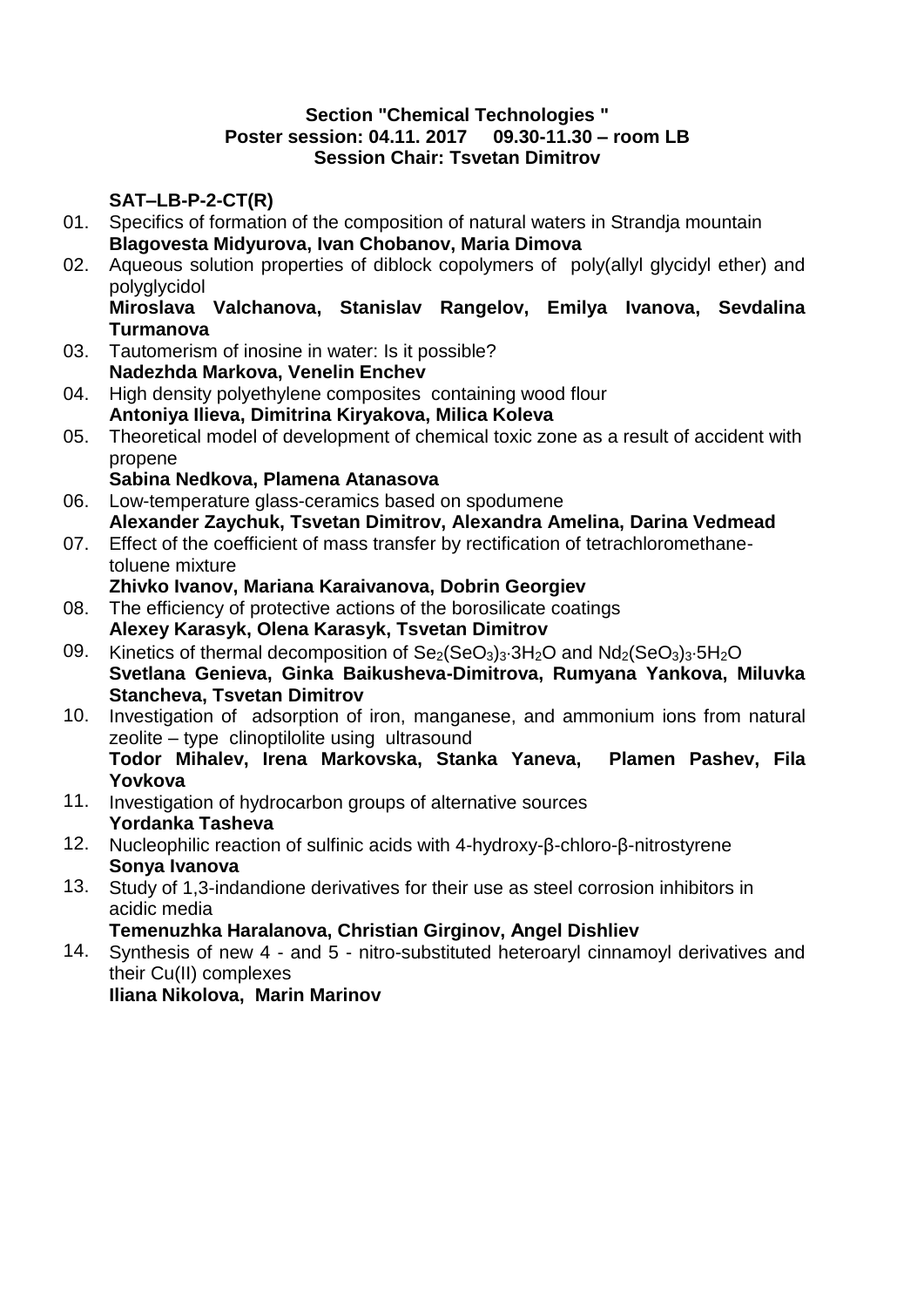#### **Section "Chemical Technologies " Poster session: 04.11. 2017 09.30-11.30 – room LB Session Chair: Tsvetan Dimitrov**

### **SAT–LB-P-2-CT(R)**

- 01. Specifics of formation of the composition of natural waters in Strandja mountain **Blagovesta Midyurova, Ivan Chobanov, Maria Dimova**
- 02. Aqueous solution properties of diblock copolymers of poly(allyl glycidyl ether) and polyglycidol

#### **Miroslava Valchanova, Stanislav Rangelov, Emilya Ivanova, Sevdalina Turmanova**

- 03. Tautomerism of inosine in water: Is it possible? **Nadezhda Markova, Venelin Enchev**
- 04. High density polyethylene composites containing wood flour **Antoniya Ilieva, Dimitrina Kiryakova, Milica Koleva**
- 05. Theoretical model of development of chemical toxic zone as a result of accident with propene

#### **Sabina Nedkova, Plamena Atanasova**

- 06. Low-temperature glass-ceramics based on spodumene **Alexander Zaychuk, Tsvetan Dimitrov, Alexandra Amelina, Darina Vedmead**
- 07. Effect of the coefficient of mass transfer by rectification of tetrachloromethanetoluene mixture

#### **Zhivko Ivanov, Mariana Karaivanova, Dobrin Georgiev**

- 08. The efficiency of protective actions of the borosilicate coatings **Alexey Karasyk, Olena Karasyk, Tsvetan Dimitrov**
- 09. Kinetics of thermal decomposition of  $Se_2(SeO_3)_3·3H_2O$  and  $Nd_2(SeO_3)_3·5H_2O$ **Svetlana Genieva, Ginka Baikusheva-Dimitrova, Rumyana Yankova, Miluvka Stancheva, Tsvetan Dimitrov**
- 10. Investigation of adsorption of iron, manganese, and ammonium ions from natural zeolite – type clinoptilolite using ultrasound **Todor Mihalev, Irena Markovska, Stanka Yaneva, Plamen Pashev, Fila Yovkova**
- 11. Investigation of hydrocarbon groups of alternative sources **Yordanka Tasheva**
- 12. Nucleophilic reaction of sulfinic acids with 4-hydroxy-β-chloro-β-nitrostyrene **Sonya Ivanova**
- 13. Study of 1,3-indandione derivatives for their use as steel corrosion inhibitors in acidic media

**Temenuzhka Haralanova, Christian Girginov, Аngel Dishliev**

14. Synthesis of new 4 - and 5 - nitro-substituted heteroaryl cinnamoyl derivatives and their Cu(II) complexes **Iliana Nikolova, Marin Marinov**